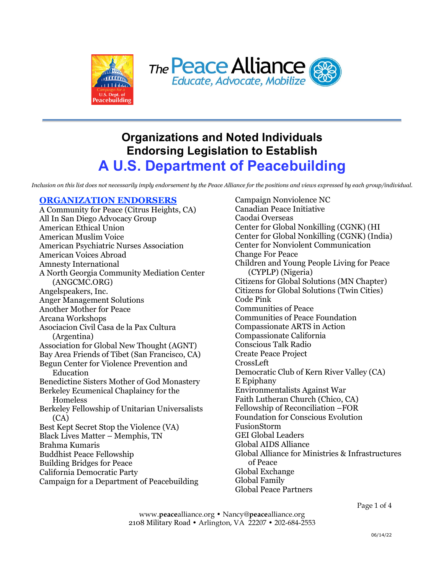



## **Organizations and Noted Individuals Endorsing Legislation to Establish A U.S. Department of Peacebuilding**

*Inclusion on this list does not necessarily imply endorsement by the Peace Alliance for the positions and views expressed by each group/individual.*

## **ORGANIZATION ENDORSERS**

A Community for Peace (Citrus Heights, CA) All In San Diego Advocacy Group American Ethical Union American Muslim Voice American Psychiatric Nurses Association American Voices Abroad Amnesty International A North Georgia Community Mediation Center (ANGCMC.ORG) Angelspeakers, Inc. Anger Management Solutions Another Mother for Peace Arcana Workshops Asociacion Civil Casa de la Pax Cultura (Argentina) Association for Global New Thought (AGNT) Bay Area Friends of Tibet (San Francisco, CA) Begun Center for Violence Prevention and Education Benedictine Sisters Mother of God Monastery Berkeley Ecumenical Chaplaincy for the Homeless Berkeley Fellowship of Unitarian Universalists (CA) Best Kept Secret Stop the Violence (VA) Black Lives Matter – Memphis, TN Brahma Kumaris Buddhist Peace Fellowship Building Bridges for Peace California Democratic Party Campaign for a Department of Peacebuilding

Campaign Nonviolence NC Canadian Peace Initiative Caodai Overseas Center for Global Nonkilling (CGNK) (HI Center for Global Nonkilling (CGNK) (India) Center for Nonviolent Communication Change For Peace Children and Young People Living for Peace (CYPLP) (Nigeria) Citizens for Global Solutions (MN Chapter) Citizens for Global Solutions (Twin Cities) Code Pink Communities of Peace Communities of Peace Foundation Compassionate ARTS in Action Compassionate California Conscious Talk Radio Create Peace Project CrossLeft Democratic Club of Kern River Valley (CA) E Epiphany Environmentalists Against War Faith Lutheran Church (Chico, CA) Fellowship of Reconciliation –FOR Foundation for Conscious Evolution FusionStorm GEI Global Leaders Global AIDS Alliance Global Alliance for Ministries & Infrastructures of Peace Global Exchange Global Family Global Peace Partners

Page 1 of 4

www.**peace**alliance.org • Nancy@**peace**alliance.org 2108 Military Road • Arlington, VA 22207 • 202-684-2553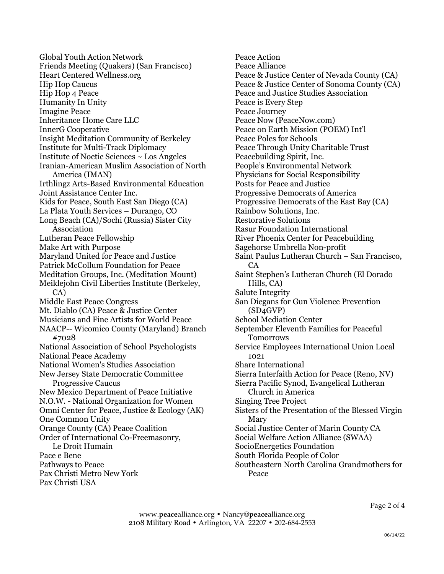Global Youth Action Network Friends Meeting (Quakers) (San Francisco) Heart Centered Wellness.org Hip Hop Caucus Hip Hop 4 Peace Humanity In Unity Imagine Peace Inheritance Home Care LLC InnerG Cooperative Insight Meditation Community of Berkeley Institute for Multi-Track Diplomacy Institute of Noetic Sciences ~ Los Angeles Iranian-American Muslim Association of North America (IMAN) Irthlingz Arts-Based Environmental Education Joint Assistance Center Inc. Kids for Peace, South East San Diego (CA) La Plata Youth Services – Durango, CO Long Beach (CA)/Sochi (Russia) Sister City Association Lutheran Peace Fellowship Make Art with Purpose Maryland United for Peace and Justice Patrick McCollum Foundation for Peace Meditation Groups, Inc. (Meditation Mount) Meiklejohn Civil Liberties Institute (Berkeley, CA) Middle East Peace Congress Mt. Diablo (CA) Peace & Justice Center Musicians and Fine Artists for World Peace NAACP-- Wicomico County (Maryland) Branch #7028 National Association of School Psychologists National Peace Academy National Women's Studies Association New Jersey State Democratic Committee Progressive Caucus New Mexico Department of Peace Initiative N.O.W. - National Organization for Women Omni Center for Peace, Justice & Ecology (AK) One Common Unity Orange County (CA) Peace Coalition Order of International Co-Freemasonry, Le Droit Humain Pace e Bene Pathways to Peace Pax Christi Metro New York Pax Christi USA

Peace Action Peace Alliance Peace & Justice Center of Nevada County (CA) Peace & Justice Center of Sonoma County (CA) Peace and Justice Studies Association Peace is Every Step Peace Journey Peace Now (PeaceNow.com) Peace on Earth Mission (POEM) Int'l Peace Poles for Schools Peace Through Unity Charitable Trust Peacebuilding Spirit, Inc. People's Environmental Network Physicians for Social Responsibility Posts for Peace and Justice Progressive Democrats of America Progressive Democrats of the East Bay (CA) Rainbow Solutions, Inc. Restorative Solutions Rasur Foundation International River Phoenix Center for Peacebuilding Sagehorse Umbrella Non-profit Saint Paulus Lutheran Church – San Francisco, CA Saint Stephen's Lutheran Church (El Dorado Hills, CA) Salute Integrity San Diegans for Gun Violence Prevention (SD4GVP) School Mediation Center September Eleventh Families for Peaceful Tomorrows Service Employees International Union Local 1021 Share International Sierra Interfaith Action for Peace (Reno, NV) Sierra Pacific Synod, Evangelical Lutheran Church in America Singing Tree Project Sisters of the Presentation of the Blessed Virgin Mary Social Justice Center of Marin County CA Social Welfare Action Alliance (SWAA) SocioEnergetics Foundation South Florida People of Color Southeastern North Carolina Grandmothers for Peace

www.**peace**alliance.org • Nancy@**peace**alliance.org 2108 Military Road • Arlington, VA 22207 • 202-684-2553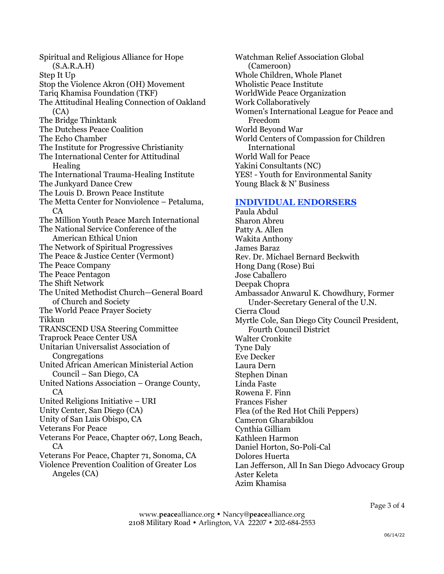Spiritual and Religious Alliance for Hope (S.A.R.A.H) Step It Up Stop the Violence Akron (OH) Movement Tariq Khamisa Foundation (TKF) The Attitudinal Healing Connection of Oakland (CA) The Bridge Thinktank The Dutchess Peace Coalition The Echo Chamber The Institute for Progressive Christianity The International Center for Attitudinal Healing The International Trauma-Healing Institute The Junkyard Dance Crew The Louis D. Brown Peace Institute The Metta Center for Nonviolence – Petaluma, CA The Million Youth Peace March International The National Service Conference of the American Ethical Union The Network of Spiritual Progressives The Peace & Justice Center (Vermont) The Peace Company The Peace Pentagon The Shift Network The United Methodist Church—General Board of Church and Society The World Peace Prayer Society Tikkun TRANSCEND USA Steering Committee Traprock Peace Center USA Unitarian Universalist Association of Congregations United African American Ministerial Action Council – San Diego, CA United Nations Association – Orange County, CA United Religions Initiative – URI Unity Center, San Diego (CA) Unity of San Luis Obispo, CA Veterans For Peace Veterans For Peace, Chapter 067, Long Beach, CA Veterans For Peace, Chapter 71, Sonoma, CA Violence Prevention Coalition of Greater Los Angeles (CA)

Watchman Relief Association Global (Cameroon) Whole Children, Whole Planet Wholistic Peace Institute WorldWide Peace Organization Work Collaboratively Women's International League for Peace and Freedom World Beyond War World Centers of Compassion for Children International World Wall for Peace Yakini Consultants (NC) YES! - Youth for Environmental Sanity Young Black & N' Business

## **INDIVIDUAL ENDORSERS**

Paula Abdul Sharon Abreu Patty A. Allen Wakita Anthony James Baraz Rev. Dr. Michael Bernard Beckwith Hong Dang (Rose) Bui Jose Caballero Deepak Chopra Ambassador Anwarul K. Chowdhury, Former Under-Secretary General of the U.N. Cierra Cloud Myrtle Cole, San Diego City Council President, Fourth Council District Walter Cronkite Tyne Daly Eve Decker Laura Dern Stephen Dinan Linda Faste Rowena F. Finn Frances Fisher Flea (of the Red Hot Chili Peppers) Cameron Gharabiklou Cynthia Gilliam Kathleen Harmon Daniel Horton, S0-Poli-Cal Dolores Huerta Lan Jefferson, All In San Diego Advocacy Group Aster Keleta Azim Khamisa